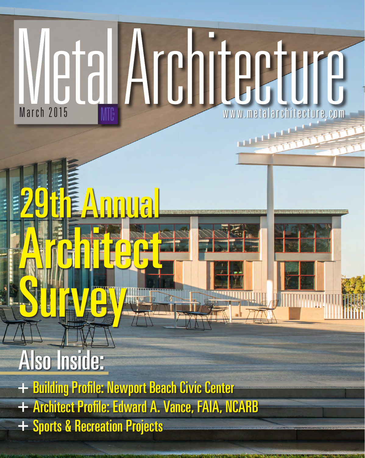# Wetal Architecture.com

## Also Inside:

Survey of the contract of

- + Building Profile: Newport Beach Civic Center
- + Architect Profile: Edward A. Vance, FAIA, NCARB
- + Sports & Recreation Projects

Architecture

29th Annual